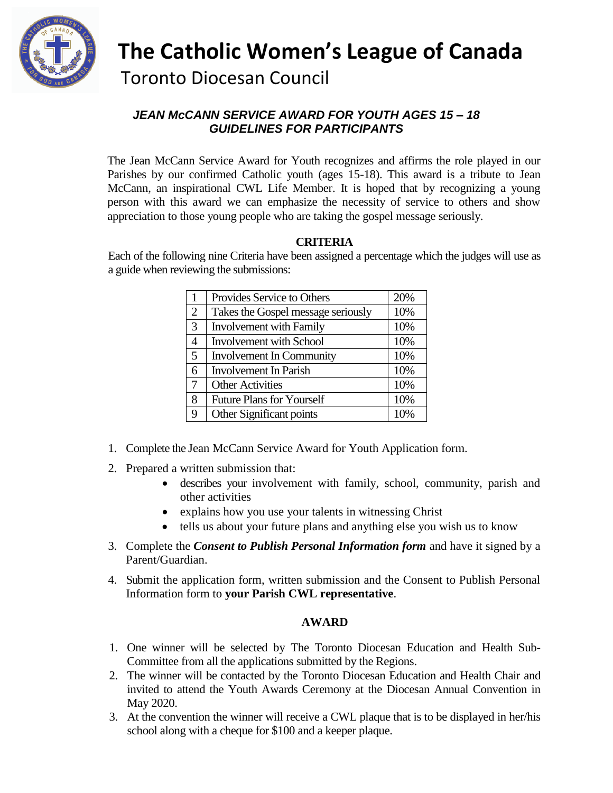

 **The Catholic Women's League of Canada** Toronto Diocesan Council

### *JEAN McCANN SERVICE AWARD FOR YOUTH AGES 15 – 18 GUIDELINES FOR PARTICIPANTS*

The Jean McCann Service Award for Youth recognizes and affirms the role played in our Parishes by our confirmed Catholic youth (ages 15-18). This award is a tribute to Jean McCann, an inspirational CWL Life Member. It is hoped that by recognizing a young person with this award we can emphasize the necessity of service to others and show appreciation to those young people who are taking the gospel message seriously.

### **CRITERIA**

Each of the following nine Criteria have been assigned a percentage which the judges will use as a guide when reviewing the submissions:

|                | Provides Service to Others         | 20% |
|----------------|------------------------------------|-----|
| $\overline{2}$ | Takes the Gospel message seriously | 10% |
| $\mathfrak{Z}$ | Involvement with Family            | 10% |
| $\overline{4}$ | <b>Involvement with School</b>     | 10% |
| $\mathfrak{S}$ | <b>Involvement In Community</b>    | 10% |
| 6              | <b>Involvement In Parish</b>       | 10% |
| 7              | <b>Other Activities</b>            | 10% |
| 8              | <b>Future Plans for Yourself</b>   | 10% |
| 9              | Other Significant points           | 10% |

- 1. Complete the Jean McCann Service Award for Youth Application form.
- 2. Prepared a written submission that:
	- describes your involvement with family, school, community, parish and other activities
	- explains how you use your talents in witnessing Christ
	- tells us about your future plans and anything else you wish us to know
- 3. Complete the *Consent to Publish Personal Information form* and have it signed by a Parent/Guardian.
- 4. Submit the application form, written submission and the Consent to Publish Personal Information form to **your Parish CWL representative**.

### **AWARD**

- 1. One winner will be selected by The Toronto Diocesan Education and Health Sub-Committee from all the applications submitted by the Regions.
- 2. The winner will be contacted by the Toronto Diocesan Education and Health Chair and invited to attend the Youth Awards Ceremony at the Diocesan Annual Convention in May 2020.
- 3. At the convention the winner will receive a CWL plaque that is to be displayed in her/his school along with a cheque for \$100 and a keeper plaque.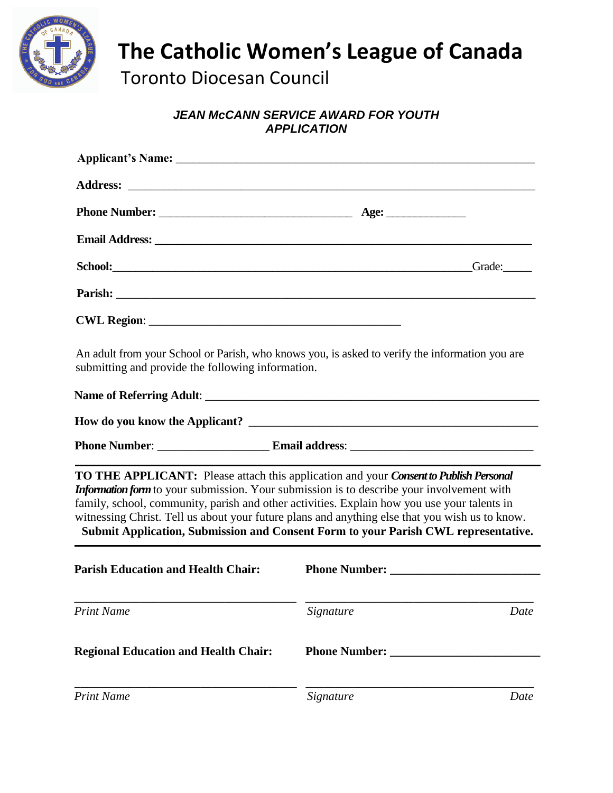

# **The Catholic Women's League of Canada**

Toronto Diocesan Council

## *JEAN McCANN SERVICE AWARD FOR YOUTH APPLICATION*

| School: Grade: Grade: Grade: Grade: Grade: Grade: Grade: Grade: Grade: Grade: Grade: Grade: Grade: Grade: Grade: Grade: Grade: Grade: Grade: Grade: Grade: Grade: Grade: Grade: Grade: Grade: Grade: Grade: Grade: Grade: Grad                                                                                                                                                                                                                                            |           |      |
|---------------------------------------------------------------------------------------------------------------------------------------------------------------------------------------------------------------------------------------------------------------------------------------------------------------------------------------------------------------------------------------------------------------------------------------------------------------------------|-----------|------|
| Parish: <u>Department of the contract of the contract of the contract of the contract of the contract of the contract of the contract of the contract of the contract of the contract of the contract of the contract of the con</u>                                                                                                                                                                                                                                      |           |      |
|                                                                                                                                                                                                                                                                                                                                                                                                                                                                           |           |      |
| An adult from your School or Parish, who knows you, is asked to verify the information you are<br>submitting and provide the following information.                                                                                                                                                                                                                                                                                                                       |           |      |
|                                                                                                                                                                                                                                                                                                                                                                                                                                                                           |           |      |
|                                                                                                                                                                                                                                                                                                                                                                                                                                                                           |           |      |
|                                                                                                                                                                                                                                                                                                                                                                                                                                                                           |           |      |
| TO THE APPLICANT: Please attach this application and your Consent to Publish Personal<br>Information form to your submission. Your submission is to describe your involvement with<br>family, school, community, parish and other activities. Explain how you use your talents in<br>witnessing Christ. Tell us about your future plans and anything else that you wish us to know.<br>Submit Application, Submission and Consent Form to your Parish CWL representative. |           |      |
| <b>Parish Education and Health Chair:</b>                                                                                                                                                                                                                                                                                                                                                                                                                                 |           |      |
| <b>Print Name</b>                                                                                                                                                                                                                                                                                                                                                                                                                                                         | Signature | Date |
| <b>Regional Education and Health Chair:</b>                                                                                                                                                                                                                                                                                                                                                                                                                               |           |      |
| <b>Print Name</b>                                                                                                                                                                                                                                                                                                                                                                                                                                                         | Signature | Date |